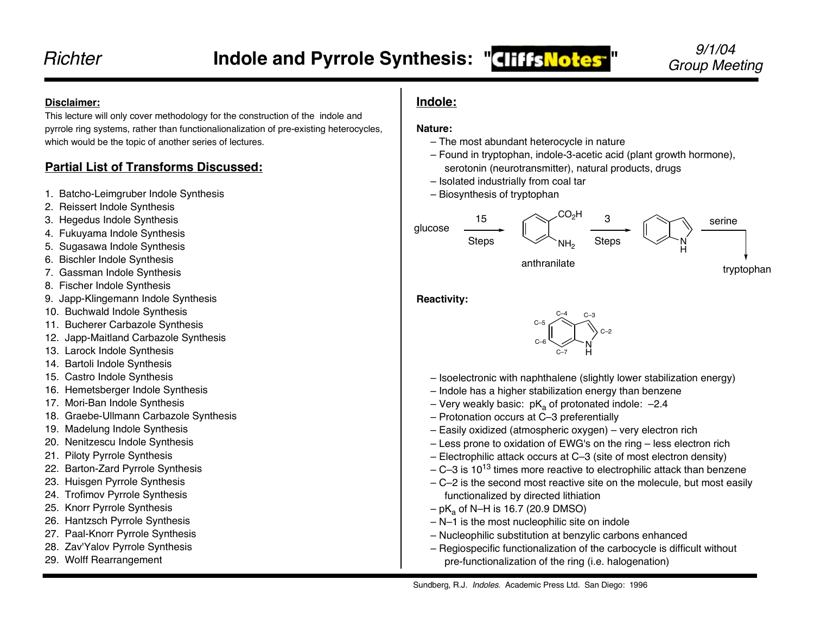#### **Disclaimer:**

This lecture will only cover methodology for the construction of the indole and pyrrole ring systems, rather than functionalionalization of pre-existing heterocycles, which would be the topic of another series of lectures.

## **Partial List of Transforms Discussed:**

- 1. Batcho-Leimgruber Indole Synthesis
- 2. Reissert Indole Synthesis
- 3. Hegedus Indole Synthesis
- 4. Fukuyama Indole Synthesis
- 5. Sugasawa Indole Synthesis
- 6. Bischler Indole Synthesis
- 7. Gassman Indole Synthesis
- 8. Fischer Indole Synthesis
- 9. Japp-Klingemann Indole Synthesis
- 10. Buchwald Indole Synthesis
- 11. Bucherer Carbazole Synthesis
- 12. Japp-Maitland Carbazole Synthesis
- 13. Larock Indole Synthesis
- 14. Bartoli Indole Synthesis
- 15. Castro Indole Synthesis
- 16. Hemetsberger Indole Synthesis
- 17. Mori-Ban Indole Synthesis
- 18. Graebe-Ullmann Carbazole Synthesis
- 19. Madelung Indole Synthesis
- 20. Nenitzescu Indole Synthesis
- 21. Piloty Pyrrole Synthesis
- 22. Barton-Zard Pyrrole Synthesis
- 23. Huisgen Pyrrole Synthesis
- 24. Trofimov Pyrrole Synthesis
- 25. Knorr Pyrrole Synthesis
- 26. Hantzsch Pyrrole Synthesis
- 27. Paal-Knorr Pyrrole Synthesis
- 28. Zav'Yalov Pyrrole Synthesis
- 29. Wolff Rearrangement

## **Indole:**

#### **Nature:**

- The most abundant heterocycle in nature
- Found in tryptophan, indole-3-acetic acid (plant growth hormone), serotonin (neurotransmitter), natural products, drugs
- Isolated industrially from coal tar
- Biosynthesis of tryptophan



**Reactivity:**



- Isoelectronic with naphthalene (slightly lower stabilization energy)
- Indole has a higher stabilization energy than benzene
- Very weakly basic:  $pK_a$  of protonated indole:  $-2.4$
- Protonation occurs at C–3 preferentially
- Easily oxidized (atmospheric oxygen) very electron rich
- Less prone to oxidation of EWG's on the ring less electron rich
- Electrophilic attack occurs at C–3 (site of most electron density)
- $-$  C–3 is 10<sup>13</sup> times more reactive to electrophilic attack than benzene
- C–2 is the second most reactive site on the molecule, but most easily functionalized by directed lithiation
- $-$  pK<sub>a</sub> of N–H is 16.7 (20.9 DMSO)
- N–1 is the most nucleophilic site on indole
- Nucleophilic substitution at benzylic carbons enhanced
- Regiospecific functionalization of the carbocycle is difficult without pre-functionalization of the ring (i.e. halogenation)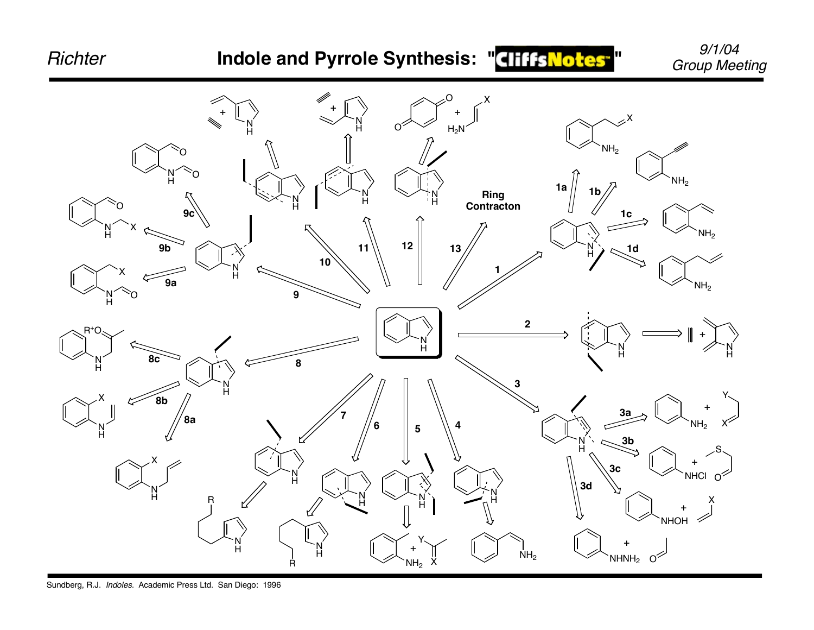

Sundberg, R.J. Indoles. Academic Press Ltd. San Diego: 1996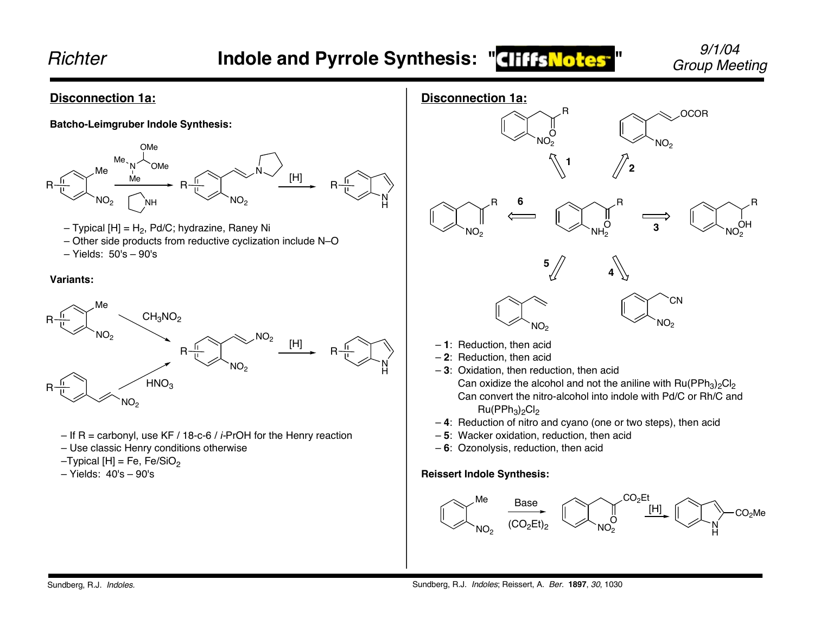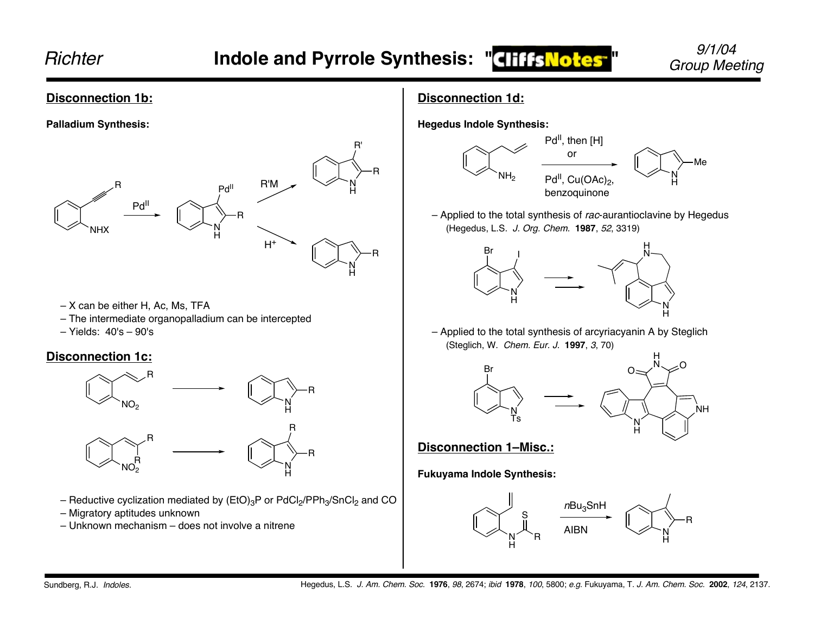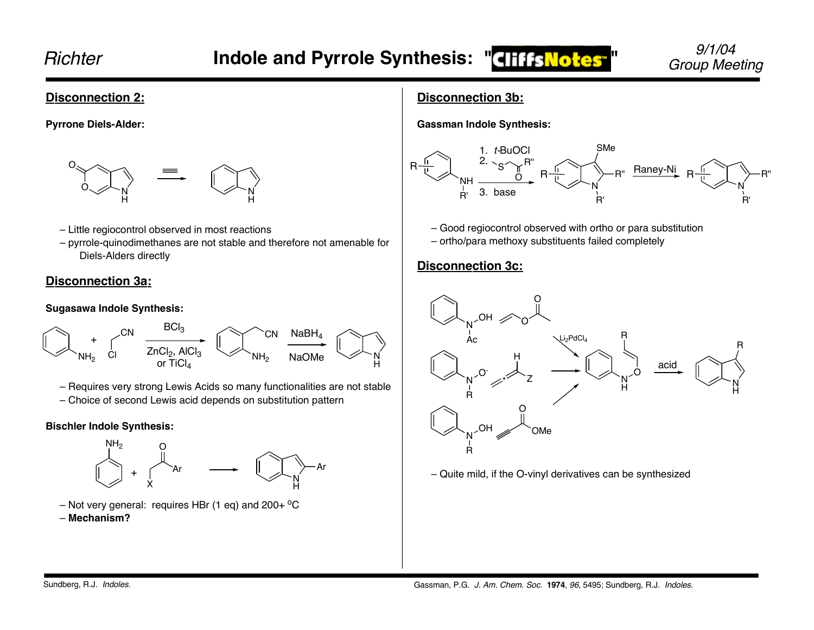#### **Disconnection 2:**

**Pyrrone Diels-Alder:**



#### – Little regiocontrol observed in most reactions

– pyrrole-quinodimethanes are not stable and therefore not amenable for Diels-Alders directly

#### **Disconnection 3a:**

#### **Sugasawa Indole Synthesis:**



- Requires very strong Lewis Acids so many functionalities are not stable
- Choice of second Lewis acid depends on substitution pattern

#### **Bischler Indole Synthesis:**



- Not very general: requires HBr (1 eq) and  $200+$  °C
- **Mechanism?**

## **Disconnection 3b:**

**Gassman Indole Synthesis:**



- Good regiocontrol observed with ortho or para substitution
- ortho/para methoxy substituents failed completely

## **Disconnection 3c:**



– Quite mild, if the O-vinyl derivatives can be synthesized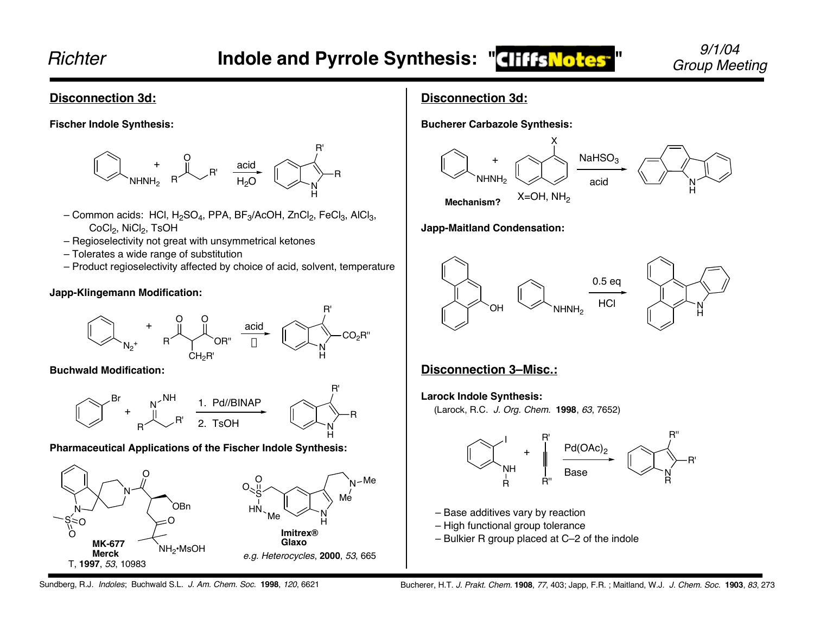R

#### **Disconnection 3d:**

**Fischer Indole Synthesis:**



- Common acids: HCl, H<sub>2</sub>SO<sub>4</sub>, PPA, BF<sub>3</sub>/AcOH, ZnCl<sub>2</sub>, FeCl<sub>3</sub>, AlCl<sub>3</sub>, CoCl<sub>2</sub>, NiCl<sub>2</sub>, TsOH
- Regioselectivity not great with unsymmetrical ketones
- Tolerates a wide range of substitution
- Product regioselectivity affected by choice of acid, solvent, temperature

#### **Japp-Klingemann Modification:**



#### **Buchwald Modification:**



#### **Pharmaceutical Applications of the Fischer Indole Synthesis:**



## **Disconnection 3d:**

**Bucherer Carbazole Synthesis:**



#### **Japp-Maitland Condensation:**



## **Disconnection 3–Misc.:**

#### **Larock Indole Synthesis:**

(Larock, R.C. J. Org. Chem. **1998**, 63, 7652)



– Base additives vary by reaction

- High functional group tolerance
- Bulkier R group placed at C–2 of the indole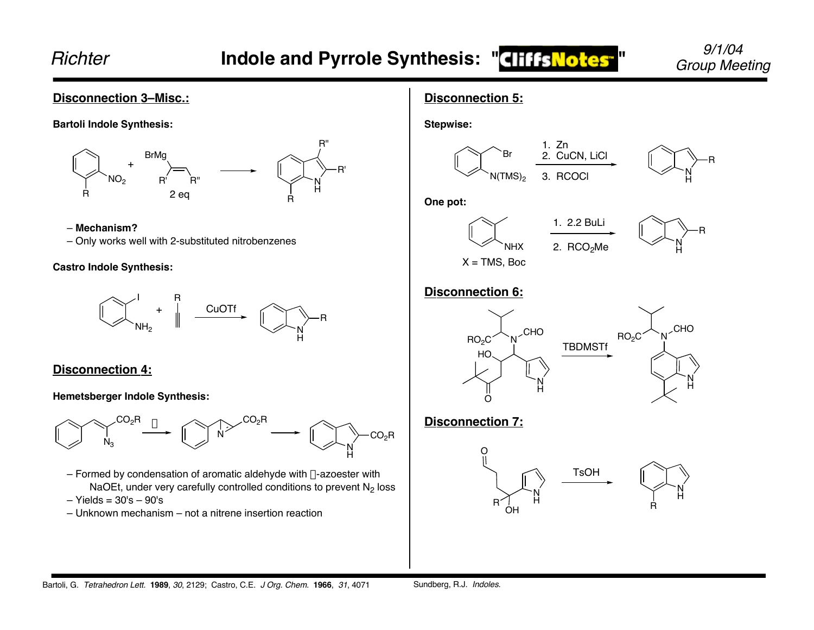## **Disconnection 3–Misc.:**



#### – **Mechanism?**

– Only works well with 2-substituted nitrobenzenes

#### **Castro Indole Synthesis:**



#### **Disconnection 4:**

#### **Hemetsberger Indole Synthesis:**



- Formed by condensation of aromatic aldehyde with  $\alpha$ -azoester with NaOEt, under very carefully controlled conditions to prevent  $N<sub>2</sub>$  loss
- $-$  Yields =  $30's 90's$
- Unknown mechanism not a nitrene insertion reaction

## **Disconnection 5:**







#### **One pot:**





## **Disconnection 6:**



## **Disconnection 7:**

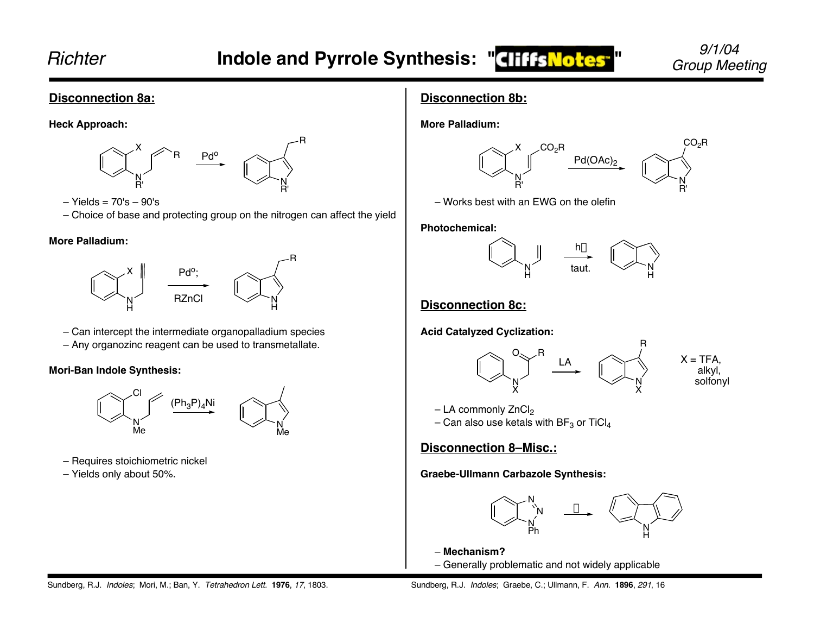R

R

#### **Disconnection 8a:**

**Heck Approach:**



- Yields = 70's 90's
- Choice of base and protecting group on the nitrogen can affect the yield

#### **More Palladium:**



– Can intercept the intermediate organopalladium species – Any organozinc reagent can be used to transmetallate.

#### **Mori-Ban Indole Synthesis:**



- Requires stoichiometric nickel
- Yields only about 50%.

## **Disconnection 8b:**

**More Palladium:**



– Works best with an EWG on the olefin

**Photochemical:**



## **Disconnection 8c:**

**Acid Catalyzed Cyclization:**



 $-$  LA commonly ZnCl<sub>2</sub>

– Can also use ketals with BF $_3$  or TiCl $_4$ 

## **Disconnection 8–Misc.:**

**Graebe-Ullmann Carbazole Synthesis:**



– **Mechanism?** – Generally problematic and not widely applicable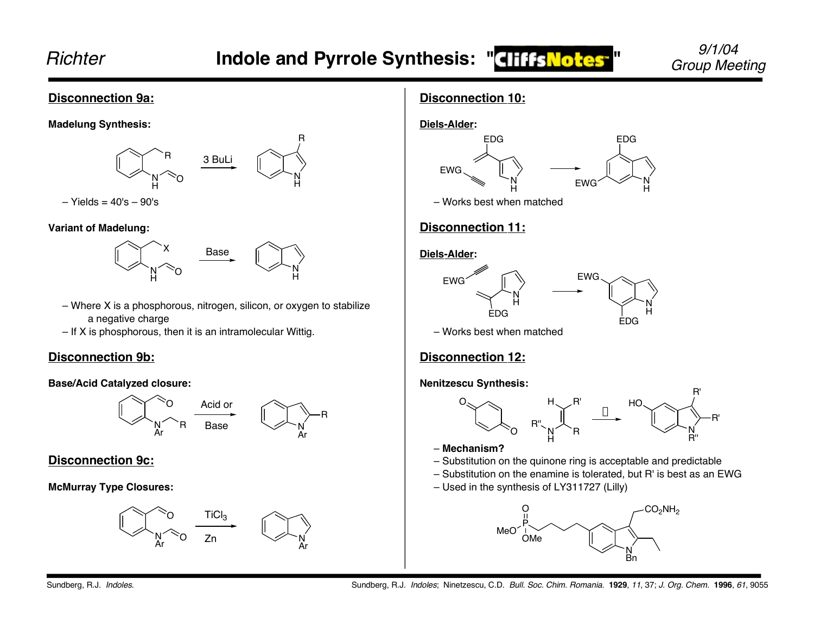## Indole and Pyrrole Synthesis: "**CHIIS Notes**" *Group Meeting*

N H

R

R

# 9/1/04

#### **Disconnection 9a:**

**Madelung Synthesis:**



– Yields = 40's – 90's

**Variant of Madelung:**



- Where X is a phosphorous, nitrogen, silicon, or oxygen to stabilize a negative charge
- If X is phosphorous, then it is an intramolecular Wittig.

## **Disconnection 9b:**

#### **Base/Acid Catalyzed closure:**



## **Disconnection 9c:**

#### **McMurray Type Closures:**



## **Disconnection 10:**



– Works best when matched

## **Disconnection 11:**

## **Diels-Alder:**



– Works best when matched

## **Disconnection 12:**

#### **Nenitzescu Synthesis:**



- **Mechanism?**
- Substitution on the quinone ring is acceptable and predictable
- Substitution on the enamine is tolerated, but R' is best as an EWG
- Used in the synthesis of LY311727 (Lilly)

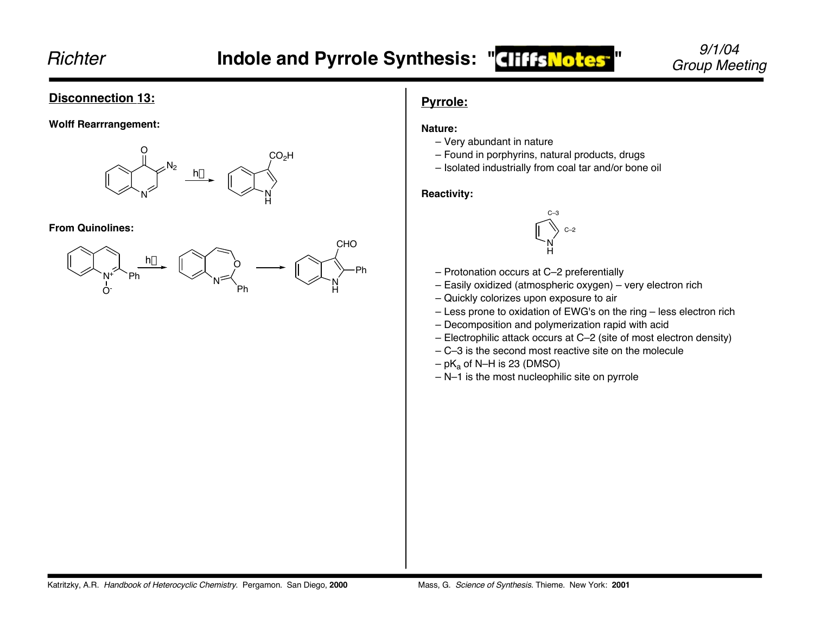#### **Disconnection 13:**

#### **Wolff Rearrrangement:**



#### **From Quinolines:**



## **Pyrrole:**

#### **Nature:**

- Very abundant in nature
- Found in porphyrins, natural products, drugs
- Isolated industrially from coal tar and/or bone oil

#### **Reactivity:**



- Protonation occurs at C–2 preferentially
- Easily oxidized (atmospheric oxygen) very electron rich
- Quickly colorizes upon exposure to air
- Less prone to oxidation of EWG's on the ring less electron rich
- Decomposition and polymerization rapid with acid
- Electrophilic attack occurs at C–2 (site of most electron density)
- C–3 is the second most reactive site on the molecule
- $-pK_a$  of N–H is 23 (DMSO)
- N–1 is the most nucleophilic site on pyrrole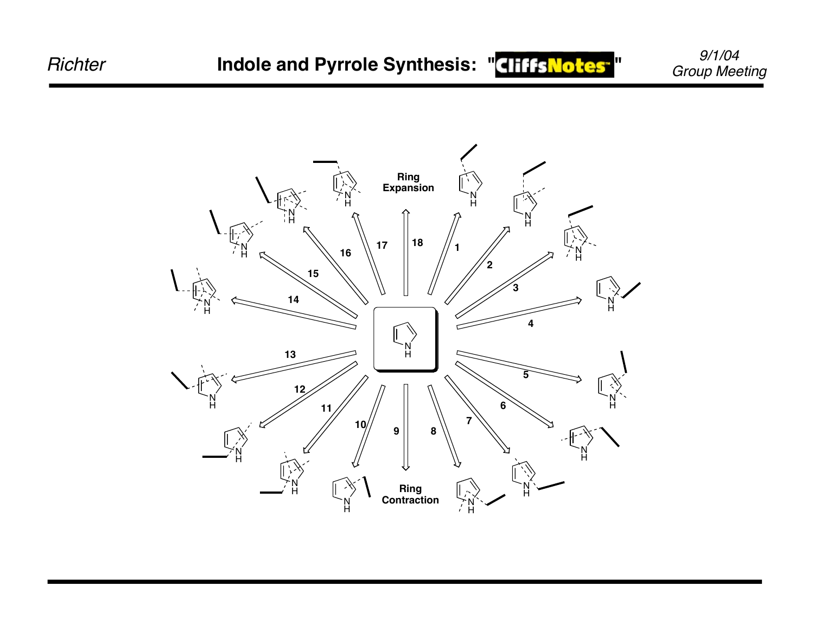



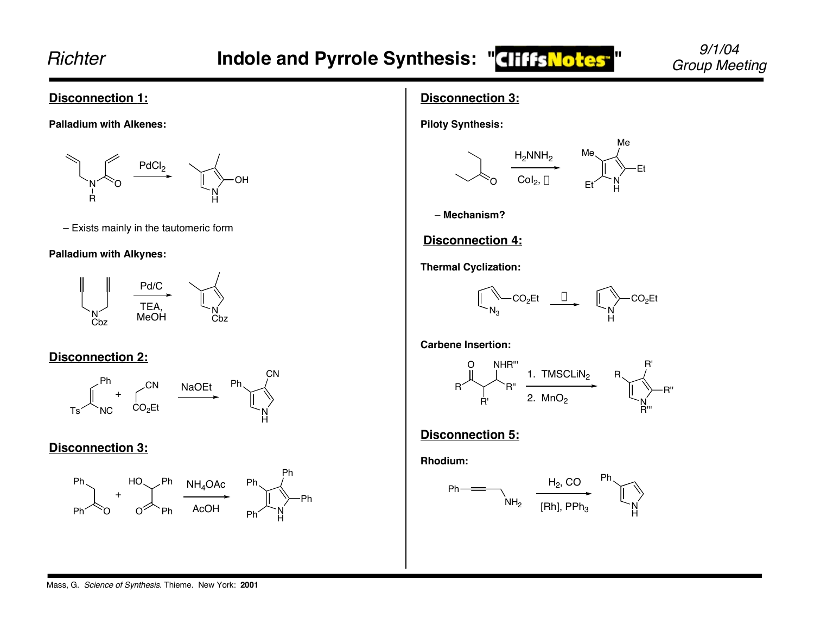#### **Disconnection 1:**

**Palladium with Alkenes:**



– Exists mainly in the tautomeric form

#### **Palladium with Alkynes:**



## **Disconnection 2:**



#### **Disconnection 3:**



## **Disconnection 3:**

**Piloty Synthesis:**



– **Mechanism?**

## **Disconnection 4:**

**Thermal Cyclization:**



**Carbene Insertion:**



## **Disconnection 5:**

**Rhodium:**

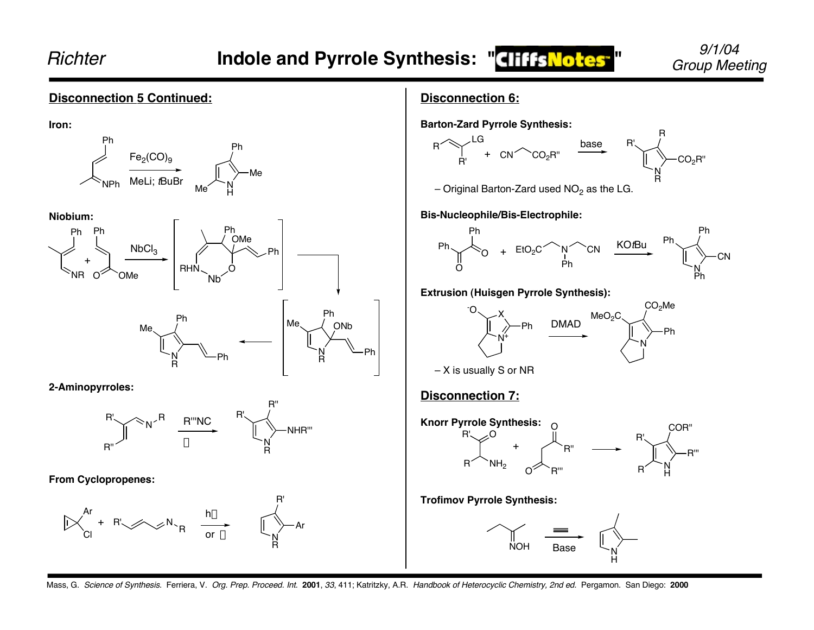#### Mass, G. Science of Synthesis. Ferriera, V. Org. Prep. Proceed. Int. **2001**, 33, 411; Katritzky, A.R. Handbook of Heterocyclic Chemistry, 2nd ed. Pergamon. San Diego: **2000 Disconnection 5 Continued: Iron: Niobium: 2-Aminopyrroles: From Cyclopropenes:** NPh Ph N H Ph Me Me  $\mathsf{Fe}_2(\mathsf{CO})_\mathsf{9}$ MeLi; *t*BuBr NR Ph  $\mathsf{NbCl}_3$ RHN Ph OMe Ph  $O^{\times}$  OMe Nb Ph OMe N R ONb Ph Me N R Ph Me Ph – N – Ph R''  $R' \searrow R$ R R'''NC <sup>R'</sup>  $\Delta$  N R NHR''' R'' Ar Cl + R' $\swarrow N_R$  hv or  $\Delta$   $\sum_{\mathbf{N}}$ R Ar R' R +

#### **Disconnection 6:**

![](_page_12_Figure_5.jpeg)

![](_page_12_Figure_6.jpeg)

– Original Barton-Zard used  $NO<sub>2</sub>$  as the LG.

**Bis-Nucleophile/Bis-Electrophile:**

![](_page_12_Figure_9.jpeg)

#### **Extrusion (Huisgen Pyrrole Synthesis):**

![](_page_12_Figure_11.jpeg)

– X is usually S or NR

## **Disconnection 7:**

-

![](_page_12_Figure_14.jpeg)

**Trofimov Pyrrole Synthesis:**

![](_page_12_Figure_16.jpeg)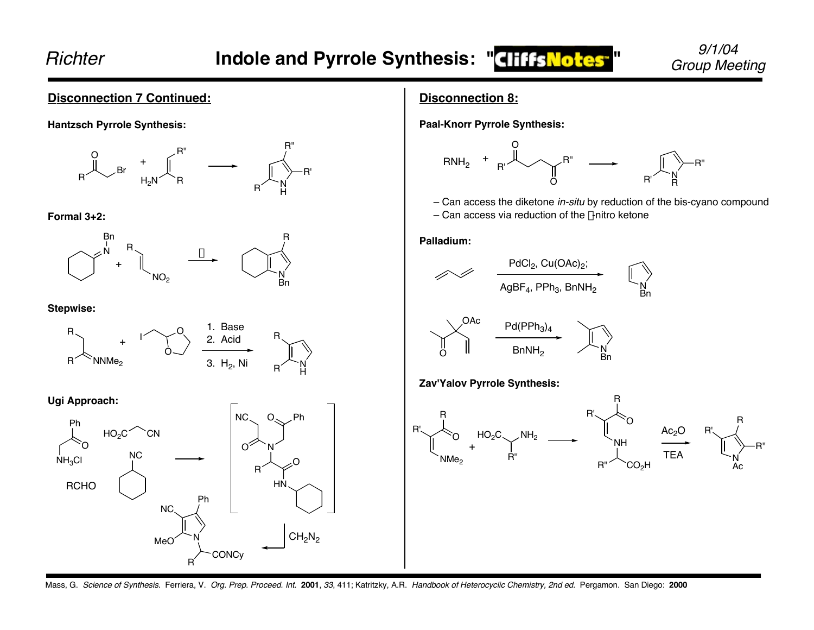R''

#### **Disconnection 7 Continued:**

**Hantzsch Pyrrole Synthesis:**

![](_page_13_Figure_5.jpeg)

**Formal 3+2:**

![](_page_13_Figure_7.jpeg)

**Stepwise:**

![](_page_13_Figure_9.jpeg)

**Ugi Approach:**

![](_page_13_Figure_11.jpeg)

#### **Disconnection 8:**

**Paal-Knorr Pyrrole Synthesis:**

![](_page_13_Figure_14.jpeg)

– Can access the diketone in-situ by reduction of the bis-cyano compound

Bn

– Can access via reduction of the  $\gamma$ -nitro ketone

**Palladium:**

![](_page_13_Figure_18.jpeg)

![](_page_13_Figure_19.jpeg)

**Zav'Yalov Pyrrole Synthesis:**

![](_page_13_Figure_21.jpeg)

Mass, G. Science of Synthesis. Ferriera, V. Org. Prep. Proceed. Int. **2001**, 33, 411; Katritzky, A.R. Handbook of Heterocyclic Chemistry, 2nd ed. Pergamon. San Diego: **2000**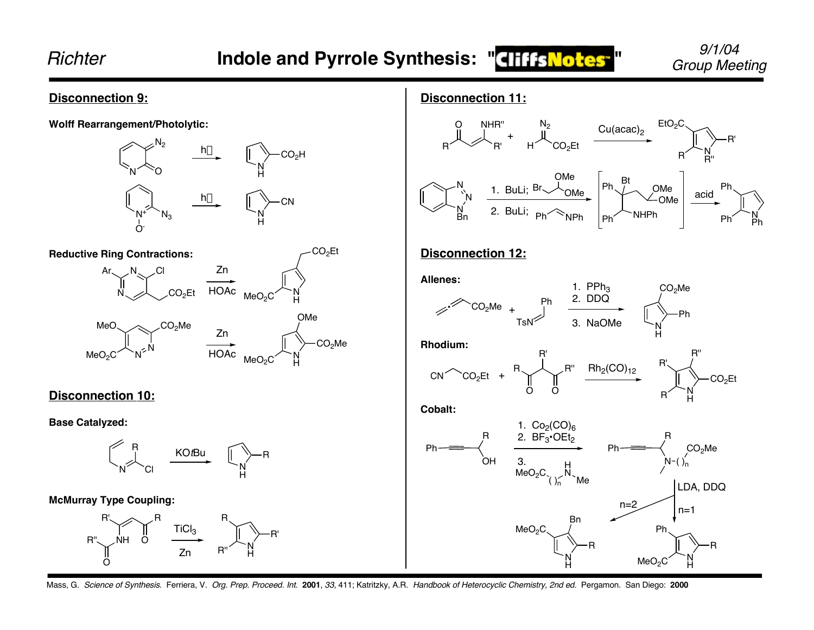Ph

![](_page_14_Figure_3.jpeg)

Mass, G. Science of Synthesis. Ferriera, V. Org. Prep. Proceed. Int. **2001**, 33, 411; Katritzky, A.R. Handbook of Heterocyclic Chemistry, 2nd ed. Pergamon. San Diego: **2000**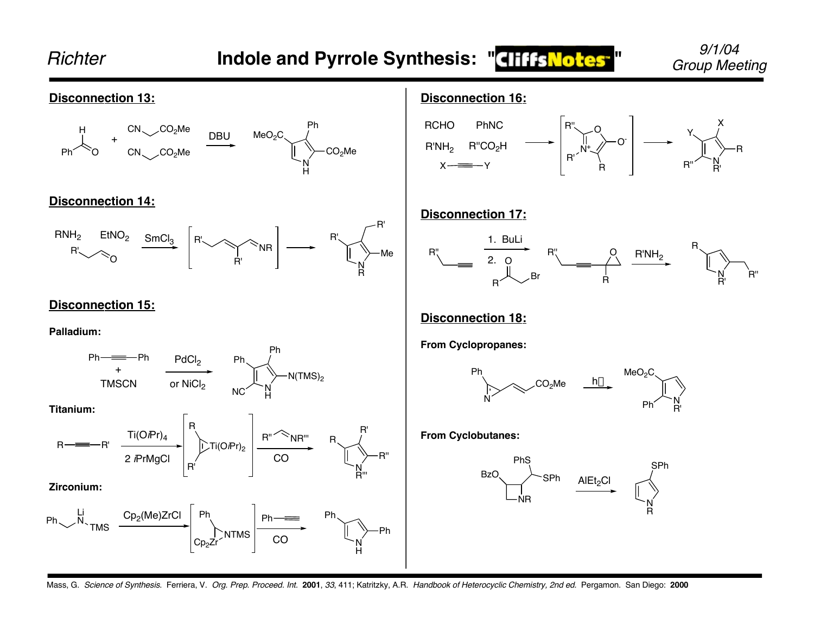![](_page_15_Figure_0.jpeg)

Mass, G. Science of Synthesis. Ferriera, V. Org. Prep. Proceed. Int. **2001**, 33, 411; Katritzky, A.R. Handbook of Heterocyclic Chemistry, 2nd ed. Pergamon. San Diego: **2000**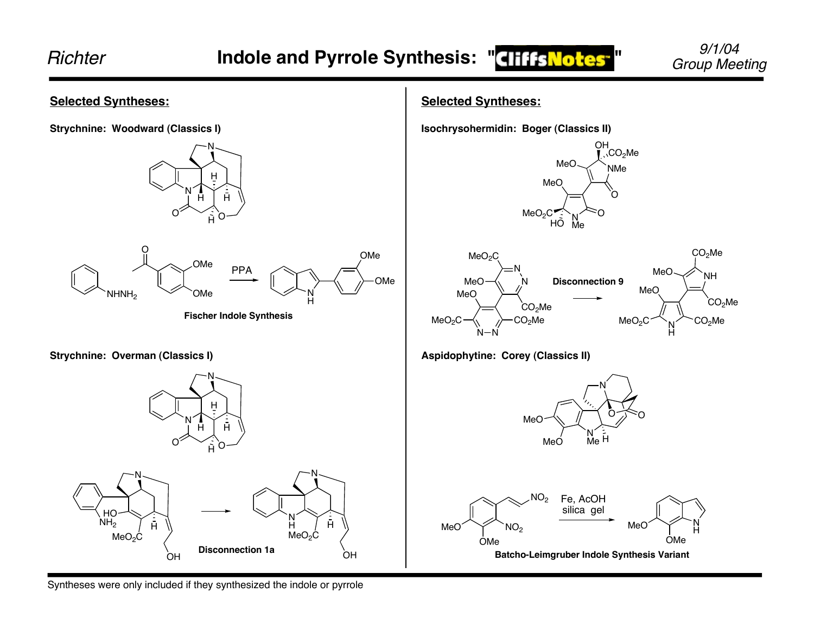![](_page_16_Figure_3.jpeg)

Syntheses were only included if they synthesized the indole or pyrrole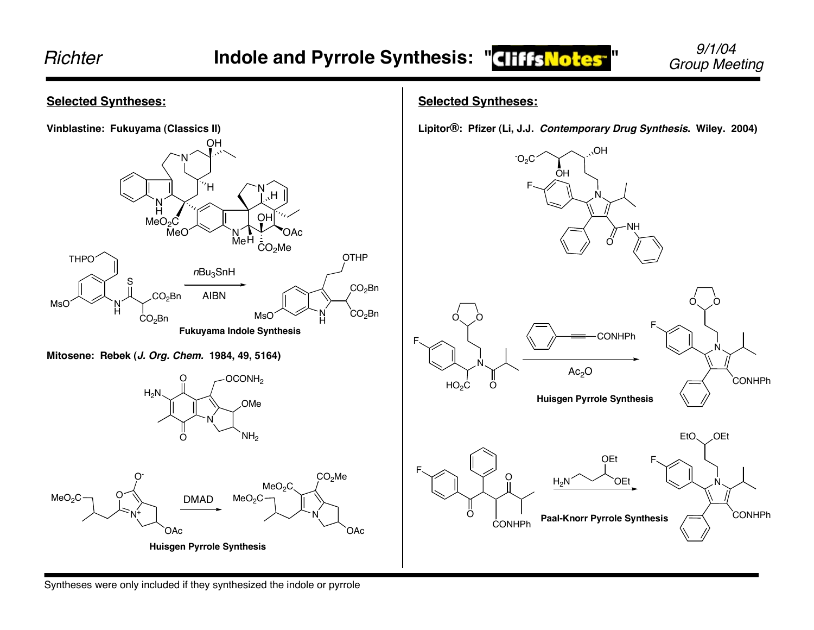![](_page_17_Figure_3.jpeg)

#### Syntheses were only included if they synthesized the indole or pyrrole